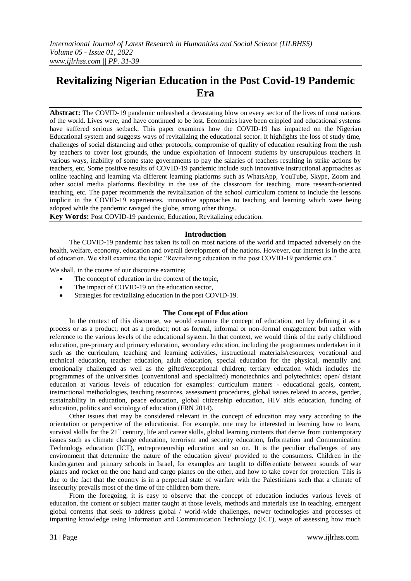# **Revitalizing Nigerian Education in the Post Covid-19 Pandemic Era**

**Abstract:** The COVID-19 pandemic unleashed a devastating blow on every sector of the lives of most nations of the world. Lives were, and have continued to be lost. Economies have been crippled and educational systems have suffered serious setback. This paper examines how the COVID-19 has impacted on the Nigerian Educational system and suggests ways of revitalizing the educational sector. It highlights the loss of study time, challenges of social distancing and other protocols, compromise of quality of education resulting from the rush by teachers to cover lost grounds, the undue exploitation of innocent students by unscrupulous teachers in various ways, inability of some state governments to pay the salaries of teachers resulting in strike actions by teachers, etc. Some positive results of COVID-19 pandemic include such innovative instructional approaches as online teaching and learning via different learning platforms such as WhatsApp, YouTube, Skype, Zoom and other social media platforms flexibility in the use of the classroom for teaching, more research-oriented teaching, etc. The paper recommends the revitalization of the school curriculum content to include the lessons implicit in the COVID-19 experiences, innovative approaches to teaching and learning which were being adopted while the pandemic ravaged the globe, among other things.

**Key Words:** Post COVID-19 pandemic, Education, Revitalizing education.

### **Introduction**

The COVID-19 pandemic has taken its toll on most nations of the world and impacted adversely on the health, welfare, economy, education and overall development of the nations. However, our interest is in the area of education. We shall examine the topic "Revitalizing education in the post COVID-19 pandemic era."

We shall, in the course of our discourse examine;

- The concept of education in the context of the topic,
- The impact of COVID-19 on the education sector,
- Strategies for revitalizing education in the post COVID-19.

### **The Concept of Education**

In the context of this discourse, we would examine the concept of education, not by defining it as a process or as a product; not as a product; not as formal, informal or non-formal engagement but rather with reference to the various levels of the educational system. In that context, we would think of the early childhood education, pre-primary and primary education, secondary education, including the programmes undertaken in it such as the curriculum, teaching and learning activities, instructional materials/resources; vocational and technical education, teacher education, adult education, special education for the physical, mentally and emotionally challenged as well as the gifted/exceptional children; tertiary education which includes the programmes of the universities (conventional and specialized) monotechnics and polytechnics; open/ distant education at various levels of education for examples: curriculum matters - educational goals, content, instructional methodologies, teaching resources, assessment procedures, global issues related to access, gender, sustainability in education, peace education, global citizenship education, HIV aids education, funding of education, politics and sociology of education (FRN 2014).

Other issues that may be considered relevant in the concept of education may vary according to the orientation or perspective of the educationist. For example, one may be interested in learning how to learn, survival skills for the  $21<sup>st</sup>$  century, life and career skills, global learning contents that derive from contemporary issues such as climate change education, terrorism and security education, Information and Communication Technology education (ICT), entrepreneurship education and so on. It is the peculiar challenges of any environment that determine the nature of the education given/ provided to the consumers. Children in the kindergarten and primary schools in Israel, for examples are taught to differentiate between sounds of war planes and rocket on the one hand and cargo planes on the other, and how to take cover for protection. This is due to the fact that the country is in a perpetual state of warfare with the Palestinians such that a climate of insecurity prevails most of the time of the children born there.

From the foregoing, it is easy to observe that the concept of education includes various levels of education, the content or subject matter taught at those levels, methods and materials use in teaching, emergent global contents that seek to address global / world-wide challenges, newer technologies and processes of imparting knowledge using Information and Communication Technology (ICT), ways of assessing how much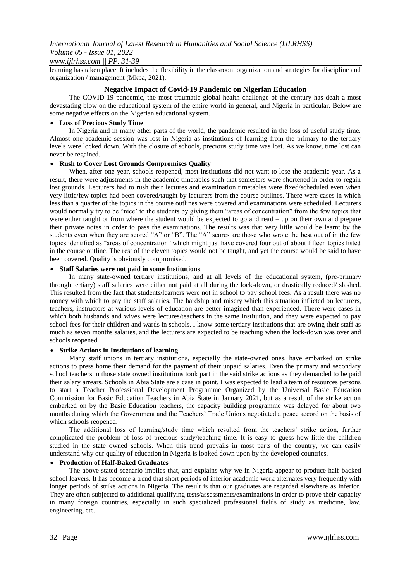### *www.ijlrhss.com || PP. 31-39*

learning has taken place. It includes the flexibility in the classroom organization and strategies for discipline and organization / management (Mkpa, 2021).

### **Negative Impact of Covid-19 Pandemic on Nigerian Education**

The COVID-19 pandemic, the most traumatic global health challenge of the century has dealt a most devastating blow on the educational system of the entire world in general, and Nigeria in particular. Below are some negative effects on the Nigerian educational system.

### **Loss of Precious Study Time**

In Nigeria and in many other parts of the world, the pandemic resulted in the loss of useful study time. Almost one academic session was lost in Nigeria as institutions of learning from the primary to the tertiary levels were locked down. With the closure of schools, precious study time was lost. As we know, time lost can never be regained.

### **Rush to Cover Lost Grounds Compromises Quality**

When, after one year, schools reopened, most institutions did not want to lose the academic year. As a result, there were adjustments in the academic timetables such that semesters were shortened in order to regain lost grounds. Lecturers had to rush their lectures and examination timetables were fixed/scheduled even when very little/few topics had been covered/taught by lecturers from the course outlines. There were cases in which less than a quarter of the topics in the course outlines were covered and examinations were scheduled. Lecturers would normally try to be "nice' to the students by giving them "areas of concentration" from the few topics that were either taught or from where the student would be expected to go and read – up on their own and prepare their private notes in order to pass the examinations. The results was that very little would be learnt by the students even when they are scored "A" or "B". The "A" scores are those who wrote the best out of in the few topics identified as "areas of concentration" which might just have covered four out of about fifteen topics listed in the course outline. The rest of the eleven topics would not be taught, and yet the course would be said to have been covered. Quality is obviously compromised.

### **Staff Salaries were not paid in some Institutions**

In many state-owned tertiary institutions, and at all levels of the educational system, (pre-primary through tertiary) staff salaries were either not paid at all during the lock-down, or drastically reduced/ slashed. This resulted from the fact that students/learners were not in school to pay school fees. As a result there was no money with which to pay the staff salaries. The hardship and misery which this situation inflicted on lecturers, teachers, instructors at various levels of education are better imagined than experienced. There were cases in which both husbands and wives were lectures/teachers in the same institution, and they were expected to pay school fees for their children and wards in schools. I know some tertiary institutions that are owing their staff as much as seven months salaries, and the lecturers are expected to be teaching when the lock-down was over and schools reopened.

### **Strike Actions in Institutions of learning**

Many staff unions in tertiary institutions, especially the state-owned ones, have embarked on strike actions to press home their demand for the payment of their unpaid salaries. Even the primary and secondary school teachers in those state owned institutions took part in the said strike actions as they demanded to be paid their salary arrears. Schools in Abia State are a case in point. I was expected to lead a team of resources persons to start a Teacher Professional Development Programme Organized by the Universal Basic Education Commission for Basic Education Teachers in Abia State in January 2021, but as a result of the strike action embarked on by the Basic Education teachers, the capacity building programme was delayed for about two months during which the Government and the Teachers' Trade Unions negotiated a peace accord on the basis of which schools reopened.

The additional loss of learning/study time which resulted from the teachers' strike action, further complicated the problem of loss of precious study/teaching time. It is easy to guess how little the children studied in the state owned schools. When this trend prevails in most parts of the country, we can easily understand why our quality of education in Nigeria is looked down upon by the developed countries.

### **Production of Half-Baked Graduates**

The above stated scenario implies that, and explains why we in Nigeria appear to produce half-backed school leavers. It has become a trend that short periods of inferior academic work alternates very frequently with longer periods of strike actions in Nigeria. The result is that our graduates are regarded elsewhere as inferior. They are often subjected to additional qualifying tests/assessments/examinations in order to prove their capacity in many foreign countries, especially in such specialized professional fields of study as medicine, law, engineering, etc.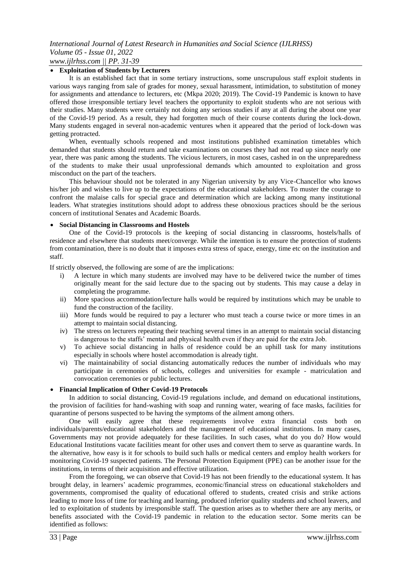### **Exploitation of Students by Lecturers**

It is an established fact that in some tertiary instructions, some unscrupulous staff exploit students in various ways ranging from sale of grades for money, sexual harassment, intimidation, to substitution of money for assignments and attendance to lecturers, etc (Mkpa 2020; 2019). The Covid-19 Pandemic is known to have offered those irresponsible tertiary level teachers the opportunity to exploit students who are not serious with their studies. Many students were certainly not doing any serious studies if any at all during the about one year of the Covid-19 period. As a result, they had forgotten much of their course contents during the lock-down. Many students engaged in several non-academic ventures when it appeared that the period of lock-down was getting protracted.

When, eventually schools reopened and most institutions published examination timetables which demanded that students should return and take examinations on courses they had not read up since nearly one year, there was panic among the students. The vicious lecturers, in most cases, cashed in on the unpreparedness of the students to make their usual unprofessional demands which amounted to exploitation and gross misconduct on the part of the teachers.

This behaviour should not be tolerated in any Nigerian university by any Vice-Chancellor who knows his/her job and wishes to live up to the expectations of the educational stakeholders. To muster the courage to confront the malaise calls for special grace and determination which are lacking among many institutional leaders. What strategies institutions should adopt to address these obnoxious practices should be the serious concern of institutional Senates and Academic Boards.

#### **Social Distancing in Classrooms and Hostels**

One of the Covid-19 protocols is the keeping of social distancing in classrooms, hostels/halls of residence and elsewhere that students meet/converge. While the intention is to ensure the protection of students from contamination, there is no doubt that it imposes extra stress of space, energy, time etc on the institution and staff.

If strictly observed, the following are some of are the implications:

- i) A lecture in which many students are involved may have to be delivered twice the number of times originally meant for the said lecture due to the spacing out by students. This may cause a delay in completing the programme.
- ii) More spacious accommodation/lecture halls would be required by institutions which may be unable to fund the construction of the facility.
- iii) More funds would be required to pay a lecturer who must teach a course twice or more times in an attempt to maintain social distancing.
- iv) The stress on lecturers repeating their teaching several times in an attempt to maintain social distancing is dangerous to the staffs' mental and physical health even if they are paid for the extra Job.
- v) To achieve social distancing in halls of residence could be an uphill task for many institutions especially in schools where hostel accommodation is already tight.
- vi) The maintainability of social distancing automatically reduces the number of individuals who may participate in ceremonies of schools, colleges and universities for example - matriculation and convocation ceremonies or public lectures.

#### **Financial Implication of Other Covid-19 Protocols**

In addition to social distancing, Covid-19 regulations include, and demand on educational institutions, the provision of facilities for hand-washing with soap and running water, wearing of face masks, facilities for quarantine of persons suspected to be having the symptoms of the ailment among others.

One will easily agree that these requirements involve extra financial costs both on individuals/parents/educational stakeholders and the management of educational institutions. In many cases, Governments may not provide adequately for these facilities. In such cases, what do you do? How would Educational Institutions vacate facilities meant for other uses and convert them to serve as quarantine wards. In the alternative, how easy is it for schools to build such halls or medical centers and employ health workers for monitoring Covid-19 suspected patients. The Personal Protection Equipment (PPE) can be another issue for the institutions, in terms of their acquisition and effective utilization.

From the foregoing, we can observe that Covid-19 has not been friendly to the educational system. It has brought delay, in learners' academic programmes, economic/financial stress on educational stakeholders and governments, compromised the quality of educational offered to students, created crisis and strike actions leading to more loss of time for teaching and learning, produced inferior quality students and school leavers, and led to exploitation of students by irresponsible staff. The question arises as to whether there are any merits, or benefits associated with the Covid-19 pandemic in relation to the education sector. Some merits can be identified as follows: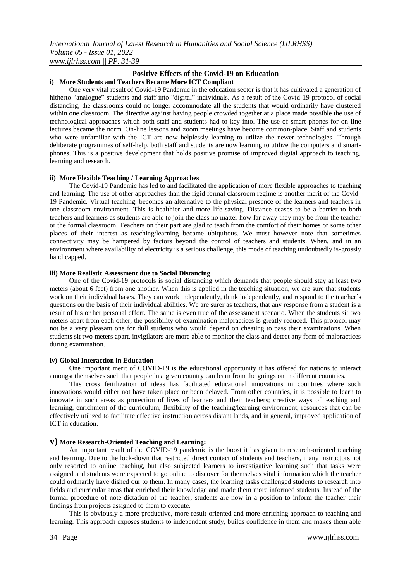### **Positive Effects of the Covid-19 on Education i) More Students and Teachers Became More ICT Compliant**

One very vital result of Covid-19 Pandemic in the education sector is that it has cultivated a generation of hitherto "analogue" students and staff into "digital" individuals. As a result of the Covid-19 protocol of social distancing, the classrooms could no longer accommodate all the students that would ordinarily have clustered within one classroom. The directive against having people crowded together at a place made possible the use of technological approaches which both staff and students had to key into. The use of smart phones for on-line lectures became the norm. On-line lessons and zoom meetings have become common-place. Staff and students who were unfamiliar with the ICT are now helplessly learning to utilize the newer technologies. Through deliberate programmes of self-help, both staff and students are now learning to utilize the computers and smartphones. This is a positive development that holds positive promise of improved digital approach to teaching, learning and research.

### **ii) More Flexible Teaching / Learning Approaches**

The Covid-19 Pandemic has led to and facilitated the application of more flexible approaches to teaching and learning. The use of other approaches than the rigid formal classroom regime is another merit of the Covid-19 Pandemic. Virtual teaching, becomes an alternative to the physical presence of the learners and teachers in one classroom environment. This is healthier and more life-saving. Distance ceases to be a barrier to both teachers and learners as students are able to join the class no matter how far away they may be from the teacher or the formal classroom. Teachers on their part are glad to teach from the comfort of their homes or some other places of their interest as teaching/learning became ubiquitous. We must however note that sometimes connectivity may be hampered by factors beyond the control of teachers and students. When, and in an environment where availability of electricity is a serious challenge, this mode of teaching undoubtedly is-grossly handicapped.

#### **iii) More Realistic Assessment due to Social Distancing**

One of the Covid-19 protocols is social distancing which demands that people should stay at least two meters (about 6 feet) from one another. When this is applied in the teaching situation, we are sure that students work on their individual bases. They can work independently, think independently, and respond to the teacher's questions on the basis of their individual abilities. We are surer as teachers, that any response from a student is a result of his or her personal effort. The same is even true of the assessment scenario. When the students sit two meters apart from each other, the possibility of examination malpractices is greatly reduced. This protocol may not be a very pleasant one for dull students who would depend on cheating to pass their examinations. When students sit two meters apart, invigilators are more able to monitor the class and detect any form of malpractices during examination.

#### **iv) Global Interaction in Education**

One important merit of COVID-19 is the educational opportunity it has offered for nations to interact amongst themselves such that people in a given country can learn from the goings on in different countries.

This cross fertilization of ideas has facilitated educational innovations in countries where such innovations would either not have taken place or been delayed. From other countries, it is possible to learn to innovate in such areas as protection of lives of learners and their teachers; creative ways of teaching and learning, enrichment of the curriculum, flexibility of the teaching/learning environment, resources that can be effectively utilized to facilitate effective instruction across distant lands, and in general, improved application of ICT in education.

### **v) More Research-Oriented Teaching and Learning:**

An important result of the COVID-19 pandemic is the boost it has given to research-oriented teaching and learning. Due to the lock-down that restricted direct contact of students and teachers, many instructors not only resorted to online teaching, but also subjected learners to investigative learning such that tasks were assigned and students were expected to go online to discover for themselves vital information which the teacher could ordinarily have dished our to them. In many cases, the learning tasks challenged students to research into fields and curricular areas that enriched their knowledge and made them more informed students. Instead of the formal procedure of note-dictation of the teacher, students are now in a position to inform the teacher their findings from projects assigned to them to execute.

This is obviously a more productive, more result-oriented and more enriching approach to teaching and learning. This approach exposes students to independent study, builds confidence in them and makes them able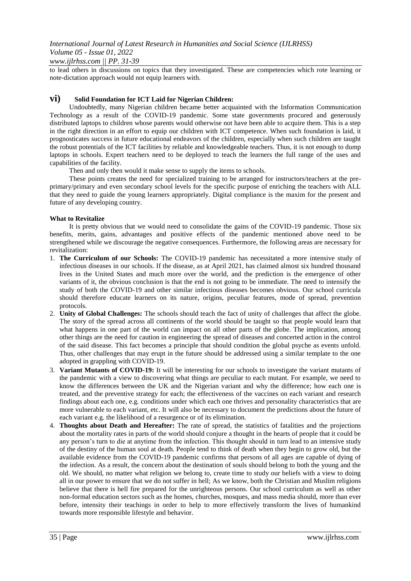### *www.ijlrhss.com || PP. 31-39*

to lead others in discussions on topics that they investigated. These are competencies which rote learning or note-dictation approach would not equip learners with.

### **vi) Solid Foundation for ICT Laid for Nigerian Children:**

Undoubtedly, many Nigerian children became better acquainted with the Information Communication Technology as a result of the COVID-19 pandemic. Some state governments procured and generously distributed laptops to children whose parents would otherwise not have been able to acquire them. This is a step in the right direction in an effort to equip our children with ICT competence. When such foundation is laid, it prognosticates success in future educational endeavors of the children, especially when such children are taught the robust potentials of the ICT facilities by reliable and knowledgeable teachers. Thus, it is not enough to dump laptops in schools. Expert teachers need to be deployed to teach the learners the full range of the uses and capabilities of the facility.

Then and only then would it make sense to supply the items to schools.

These points creates the need for specialized training to be arranged for instructors/teachers at the preprimary/primary and even secondary school levels for the specific purpose of enriching the teachers with ALL that they need to guide the young learners appropriately. Digital compliance is the maxim for the present and future of any developing country.

### **What to Revitalize**

It is pretty obvious that we would need to consolidate the gains of the COVID-19 pandemic. Those six benefits, merits, gains, advantages and positive effects of the pandemic mentioned above need to be strengthened while we discourage the negative consequences. Furthermore, the following areas are necessary for revitalization:

- 1. **The Curriculum of our Schools:** The COVID-19 pandemic has necessitated a more intensive study of infectious diseases in our schools. If the disease, as at April 2021, has claimed almost six hundred thousand lives in the United States and much more over the world, and the prediction is the emergence of other variants of it, the obvious conclusion is that the end is not going to be immediate. The need to intensify the study of both the COVID-19 and other similar infectious diseases becomes obvious. Our school curricula should therefore educate learners on its nature, origins, peculiar features, mode of spread, prevention protocols.
- 2. **Unity of Global Challenges:** The schools should teach the fact of unity of challenges that affect the globe. The story of the spread across all continents of the world should be taught so that people would learn that what happens in one part of the world can impact on all other parts of the globe. The implication, among other things are the need for caution in engineering the spread of diseases and concerted action in the control of the said disease. This fact becomes a principle that should condition the global psyche as events unfold. Thus, other challenges that may erupt in the future should be addressed using a similar template to the one adopted in grappling with COVID-19.
- 3. **Variant Mutants of COVID-19:** It will be interesting for our schools to investigate the variant mutants of the pandemic with a view to discovering what things are peculiar to each mutant. For example, we need to know the differences between the UK and the Nigerian variant and why the difference; how each one is treated, and the preventive strategy for each; the effectiveness of the vaccines on each variant and research findings about each one, e.g. conditions under which each one thrives and personality characteristics that are more vulnerable to each variant, etc. It will also be necessary to document the predictions about the future of each variant e.g. the likelihood of a resurgence or of its elimination.
- 4. **Thoughts about Death and Hereafter:** The rate of spread, the statistics of fatalities and the projections about the mortality rates in parts of the world should conjure a thought in the hearts of people that it could be any person's turn to die at anytime from the infection. This thought should in turn lead to an intensive study of the destiny of the human soul at death. People tend to think of death when they begin to grow old, but the available evidence from the COVID-19 pandemic confirms that persons of all ages are capable of dying of the infection. As a result, the concern about the destination of souls should belong to both the young and the old. We should, no matter what religion we belong to, create time to study our beliefs with a view to doing all in our power to ensure that we do not suffer in hell; As we know, both the Christian and Muslim religions believe that there is hell fire prepared for the unrighteous persons. Our school curriculum as well as other non-formal education sectors such as the homes, churches, mosques, and mass media should, more than ever before, intensity their teachings in order to help to more effectively transform the lives of humankind towards more responsible lifestyle and behavior.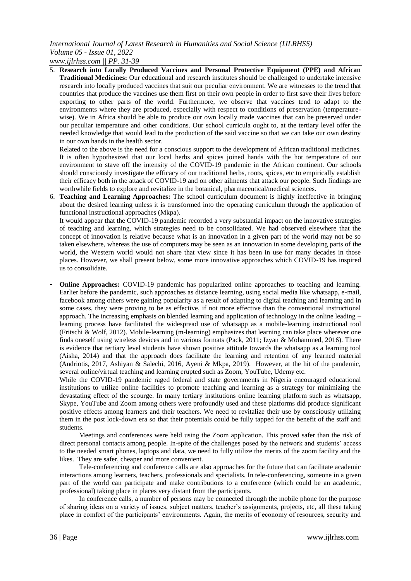*www.ijlrhss.com || PP. 31-39*

5. **Research into Locally Produced Vaccines and Personal Protective Equipment (PPE) and African Traditional Medicines:** Our educational and research institutes should be challenged to undertake intensive research into locally produced vaccines that suit our peculiar environment. We are witnesses to the trend that countries that produce the vaccines use them first on their own people in order to first save their lives before exporting to other parts of the world. Furthermore, we observe that vaccines tend to adapt to the environments where they are produced, especially with respect to conditions of preservation (temperaturewise). We in Africa should be able to produce our own locally made vaccines that can be preserved under our peculiar temperature and other conditions. Our school curricula ought to, at the tertiary level offer the needed knowledge that would lead to the production of the said vaccine so that we can take our own destiny in our own hands in the health sector.

Related to the above is the need for a conscious support to the development of African traditional medicines. It is often hypothesized that our local herbs and spices joined hands with the hot temperature of our environment to stave off the intensity of the COVID-19 pandemic in the African continent. Our schools should consciously investigate the efficacy of our traditional herbs, roots, spices, etc to empirically establish their efficacy both in the attack of COVID-19 and on other ailments that attack our people. Such findings are worthwhile fields to explore and revitalize in the botanical, pharmaceutical/medical sciences.

6. **Teaching and Learning Approaches:** The school curriculum document is highly ineffective in bringing about the desired learning unless it is transformed into the operating curriculum through the application of functional instructional approaches (Mkpa).

It would appear that the COVID-19 pandemic recorded a very substantial impact on the innovative strategies of teaching and learning, which strategies need to be consolidated. We had observed elsewhere that the concept of innovation is relative because what is an innovation in a given part of the world may not be so taken elsewhere, whereas the use of computers may be seen as an innovation in some developing parts of the world, the Western world would not share that view since it has been in use for many decades in those places. However, we shall present below, some more innovative approaches which COVID-19 has inspired us to consolidate.

**Online Approaches:** COVID-19 pandemic has popularized online approaches to teaching and learning. Earlier before the pandemic, such approaches as distance learning, using social media like whatsapp, e-mail, facebook among others were gaining popularity as a result of adapting to digital teaching and learning and in some cases, they were proving to be as effective, if not more effective than the conventional instructional approach. The increasing emphasis on blended learning and application of technology in the online leading – learning process have facilitated the widespread use of whatsapp as a mobile-learning instructional tool (Fritschi & Wolf, 2012). Mobile-learning (m-learning) emphasizes that learning can take place wherever one finds oneself using wireless devices and in various formats (Pack, 2011; Izyan & Mohammed, 2016). There is evidence that tertiary level students have shown positive attitude towards the whatsapp as a learning tool (Aisha, 2014) and that the approach does facilitate the learning and retention of any learned material (Andriotis, 2017, Ashiyan & Salechi, 2016, Ayeni & Mkpa, 2019). However, at the hit of the pandemic, several online/virtual teaching and learning erupted such as Zoom, YouTube, Udemy etc.

While the COVID-19 pandemic raged federal and state governments in Nigeria encouraged educational institutions to utilize online facilities to promote teaching and learning as a strategy for minimizing the devastating effect of the scourge. In many tertiary institutions online learning platform such as whatsapp, Skype, YouTube and Zoom among others were profoundly used and these platforms did produce significant positive effects among learners and their teachers. We need to revitalize their use by consciously utilizing them in the post lock-down era so that their potentials could be fully tapped for the benefit of the staff and students.

Meetings and conferences were held using the Zoom application. This proved safer than the risk of direct personal contacts among people. In-spite of the challenges posed by the network and students' access to the needed smart phones, laptops and data, we need to fully utilize the merits of the zoom facility and the likes. They are safer, cheaper and more convenient.

Tele-conferencing and conference calls are also approaches for the future that can facilitate academic interactions among learners, teachers, professionals and specialists. In tele-conferencing, someone in a given part of the world can participate and make contributions to a conference (which could be an academic, professional) taking place in places very distant from the participants.

In conference calls, a number of persons may be connected through the mobile phone for the purpose of sharing ideas on a variety of issues, subject matters, teacher's assignments, projects, etc, all these taking place in comfort of the participants' environments. Again, the merits of economy of resources, security and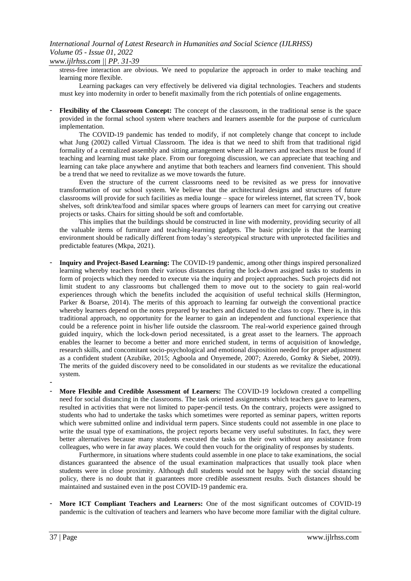*www.ijlrhss.com || PP. 31-39*

stress-free interaction are obvious. We need to popularize the approach in order to make teaching and learning more flexible.

Learning packages can very effectively be delivered via digital technologies. Teachers and students must key into modernity in order to benefit maximally from the rich potentials of online engagements.

- **Flexibility of the Classroom Concept:** The concept of the classroom, in the traditional sense is the space provided in the formal school system where teachers and learners assemble for the purpose of curriculum implementation.

The COVID-19 pandemic has tended to modify, if not completely change that concept to include what Jung (2002) called Virtual Classroom. The idea is that we need to shift from that traditional rigid formality of a centralized assembly and sitting arrangement where all learners and teachers must be found if teaching and learning must take place. From our foregoing discussion, we can appreciate that teaching and learning can take place anywhere and anytime that both teachers and learners find convenient. This should be a trend that we need to revitalize as we move towards the future.

Even the structure of the current classrooms need to be revisited as we press for innovative transformation of our school system. We believe that the architectural designs and structures of future classrooms will provide for such facilities as media lounge – space for wireless internet, flat screen TV, book shelves, soft drink/tea/food and similar spaces where groups of learners can meet for carrying out creative projects or tasks. Chairs for sitting should be soft and comfortable.

This implies that the buildings should be constructed in line with modernity, providing security of all the valuable items of furniture and teaching-learning gadgets. The basic principle is that the learning environment should be radically different from today's stereotypical structure with unprotected facilities and predictable features (Mkpa, 2021).

- **Inquiry and Project-Based Learning:** The COVID-19 pandemic, among other things inspired personalized learning whereby teachers from their various distances during the lock-down assigned tasks to students in form of projects which they needed to execute via the inquiry and project approaches. Such projects did not limit student to any classrooms but challenged them to move out to the society to gain real-world experiences through which the benefits included the acquisition of useful technical skills (Hermington, Parker & Boarse, 2014). The merits of this approach to learning far outweigh the conventional practice whereby learners depend on the notes prepared by teachers and dictated to the class to copy. There is, in this traditional approach, no opportunity for the learner to gain an independent and functional experience that could be a reference point in his/her life outside the classroom. The real-world experience gained through guided inquiry, which the lock-down period necessitated, is a great asset to the learners. The approach enables the learner to become a better and more enriched student, in terms of acquisition of knowledge, research skills, and concomitant socio-psychological and emotional disposition needed for proper adjustment as a confident student (Azubike, 2015; Agboola and Onyemede, 2007; Azeredo, Gomky & Siebet, 2009). The merits of the guided discovery need to be consolidated in our students as we revitalize the educational system.
- **More Flexible and Credible Assessment of Learners:** The COVID-19 lockdown created a compelling need for social distancing in the classrooms. The task oriented assignments which teachers gave to learners, resulted in activities that were not limited to paper-pencil tests. On the contrary, projects were assigned to students who had to undertake the tasks which sometimes were reported as seminar papers, written reports which were submitted online and individual term papers. Since students could not assemble in one place to write the usual type of examinations, the project reports became very useful substitutes. In fact, they were better alternatives because many students executed the tasks on their own without any assistance from colleagues, who were in far away places. We could then vouch for the originality of responses by students.

Furthermore, in situations where students could assemble in one place to take examinations, the social distances guaranteed the absence of the usual examination malpractices that usually took place when students were in close proximity. Although dull students would not be happy with the social distancing policy, there is no doubt that it guarantees more credible assessment results. Such distances should be maintained and sustained even in the post COVID-19 pandemic era.

More ICT Compliant Teachers and Learners: One of the most significant outcomes of COVID-19 pandemic is the cultivation of teachers and learners who have become more familiar with the digital culture.

-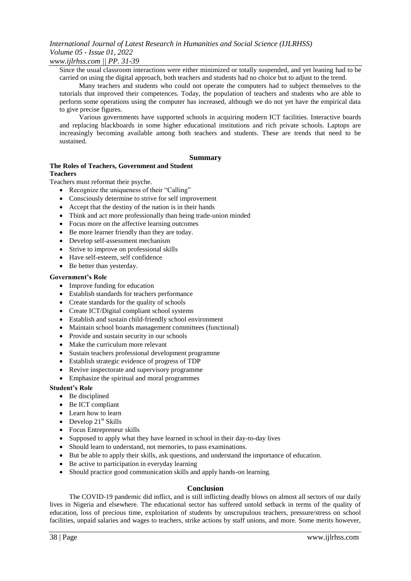### *www.ijlrhss.com || PP. 31-39*

Since the usual classroom interactions were either minimized or totally suspended, and yet leaning had to be carried on using the digital approach, both teachers and students had no choice but to adjust to the trend.

Many teachers and students who could not operate the computers had to subject themselves to the tutorials that improved their competences. Today, the population of teachers and students who are able to perform some operations using the computer has increased, although we do not yet have the empirical data to give precise figures.

Various governments have supported schools in acquiring modern ICT facilities. Interactive boards and replacing blackboards in some higher educational institutions and rich private schools. Laptops are increasingly becoming available among both teachers and students. These are trends that need to be sustained.

### **Summary**

### **The Roles of Teachers, Government and Student**

### **Teachers**

Teachers must reformat their psyche.

- Recognize the uniqueness of their "Calling"
- Consciously determine to strive for self improvement
- Accept that the destiny of the nation is in their hands
- Think and act more professionally than being trade-union minded
- Focus more on the affective learning outcomes
- Be more learner friendly than they are today.
- Develop self-assessment mechanism
- Strive to improve on professional skills
- Have self-esteem, self confidence
- Be better than yesterday.

### **Government's Role**

- Improve funding for education
- Establish standards for teachers performance
- Create standards for the quality of schools
- Create ICT/Digital compliant school systems
- Establish and sustain child-friendly school environment
- Maintain school boards management committees (functional)
- Provide and sustain security in our schools
- Make the curriculum more relevant
- Sustain teachers professional development programme
- Establish strategic evidence of progress of TDP
- Revive inspectorate and supervisory programme
- Emphasize the spiritual and moral programmes

### **Student's Role**

- Be disciplined
- Be ICT compliant
- Learn how to learn
- $\bullet$  Develop 21<sup>st</sup> Skills
- Focus Entrepreneur skills
- Supposed to apply what they have learned in school in their day-to-day lives
- Should learn to understand, not memories, to pass examinations.
- But be able to apply their skills, ask questions, and understand the importance of education.
- Be active to participation in everyday learning
- Should practice good communication skills and apply hands-on learning.

### **Conclusion**

The COVID-19 pandemic did inflict, and is still inflicting deadly blows on almost all sectors of our daily lives in Nigeria and elsewhere. The educational sector has suffered untold setback in terms of the quality of education, loss of precious time, exploitation of students by unscrupulous teachers, pressure/stress on school facilities, unpaid salaries and wages to teachers, strike actions by staff unions, and more. Some merits however,